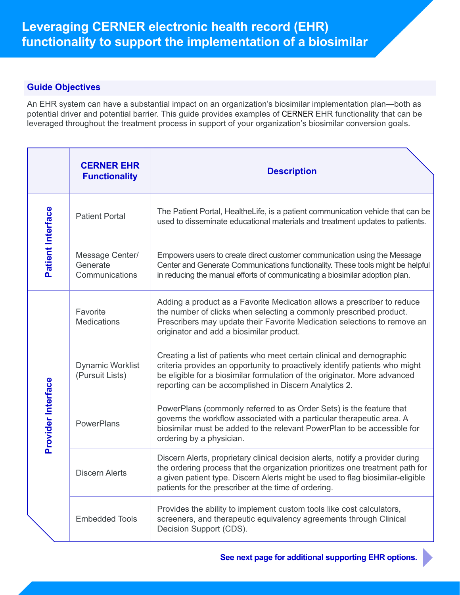# **Guide Objectives**

An EHR system can have a substantial impact on an organization's biosimilar implementation plan—both as potential driver and potential barrier. This guide provides examples of CERNER EHR functionality that can be leveraged throughout the treatment process in support of your organization's biosimilar conversion goals.

|                    | <b>CERNER EHR</b><br><b>Functionality</b>     | <b>Description</b>                                                                                                                                                                                                                                                                                        |
|--------------------|-----------------------------------------------|-----------------------------------------------------------------------------------------------------------------------------------------------------------------------------------------------------------------------------------------------------------------------------------------------------------|
| Patient Interface  | <b>Patient Portal</b>                         | The Patient Portal, HealtheLife, is a patient communication vehicle that can be<br>used to disseminate educational materials and treatment updates to patients.                                                                                                                                           |
|                    | Message Center/<br>Generate<br>Communications | Empowers users to create direct customer communication using the Message<br>Center and Generate Communications functionality. These tools might be helpful<br>in reducing the manual efforts of communicating a biosimilar adoption plan.                                                                 |
| Provider Interface | Favorite<br><b>Medications</b>                | Adding a product as a Favorite Medication allows a prescriber to reduce<br>the number of clicks when selecting a commonly prescribed product.<br>Prescribers may update their Favorite Medication selections to remove an<br>originator and add a biosimilar product.                                     |
|                    | <b>Dynamic Worklist</b><br>(Pursuit Lists)    | Creating a list of patients who meet certain clinical and demographic<br>criteria provides an opportunity to proactively identify patients who might<br>be eligible for a biosimilar formulation of the originator. More advanced<br>reporting can be accomplished in Discern Analytics 2.                |
|                    | <b>PowerPlans</b>                             | PowerPlans (commonly referred to as Order Sets) is the feature that<br>governs the workflow associated with a particular therapeutic area. A<br>biosimilar must be added to the relevant PowerPlan to be accessible for<br>ordering by a physician.                                                       |
|                    | <b>Discern Alerts</b>                         | Discern Alerts, proprietary clinical decision alerts, notify a provider during<br>the ordering process that the organization prioritizes one treatment path for<br>a given patient type. Discern Alerts might be used to flag biosimilar-eligible<br>patients for the prescriber at the time of ordering. |
|                    | <b>Embedded Tools</b>                         | Provides the ability to implement custom tools like cost calculators,<br>screeners, and therapeutic equivalency agreements through Clinical<br>Decision Support (CDS).                                                                                                                                    |